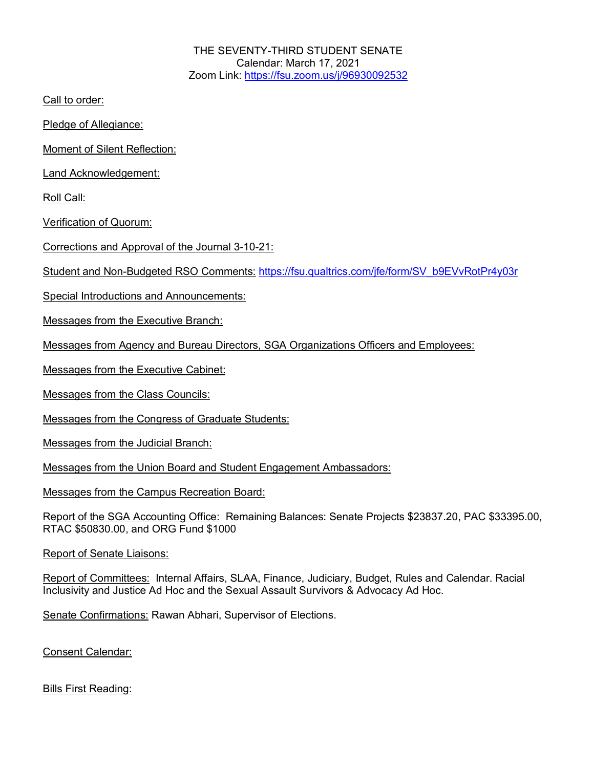THE SEVENTY-THIRD STUDENT SENATE Calendar: March 17, 2021 Zoom Link: https://fsu.zoom.us/j/96930092532

Call to order:

Pledge of Allegiance:

Moment of Silent Reflection:

Land Acknowledgement:

Roll Call:

Verification of Quorum:

Corrections and Approval of the Journal 3-10-21:

Student and Non-Budgeted RSO Comments: https://fsu.qualtrics.com/jfe/form/SV\_b9EVvRotPr4y03r

Special Introductions and Announcements:

Messages from the Executive Branch:

Messages from Agency and Bureau Directors, SGA Organizations Officers and Employees:

Messages from the Executive Cabinet:

Messages from the Class Councils:

Messages from the Congress of Graduate Students:

Messages from the Judicial Branch:

Messages from the Union Board and Student Engagement Ambassadors:

Messages from the Campus Recreation Board:

Report of the SGA Accounting Office: Remaining Balances: Senate Projects \$23837.20, PAC \$33395.00, RTAC \$50830.00, and ORG Fund \$1000

Report of Senate Liaisons:

Report of Committees: Internal Affairs, SLAA, Finance, Judiciary, Budget, Rules and Calendar. Racial Inclusivity and Justice Ad Hoc and the Sexual Assault Survivors & Advocacy Ad Hoc.

Senate Confirmations: Rawan Abhari, Supervisor of Elections.

Consent Calendar:

Bills First Reading: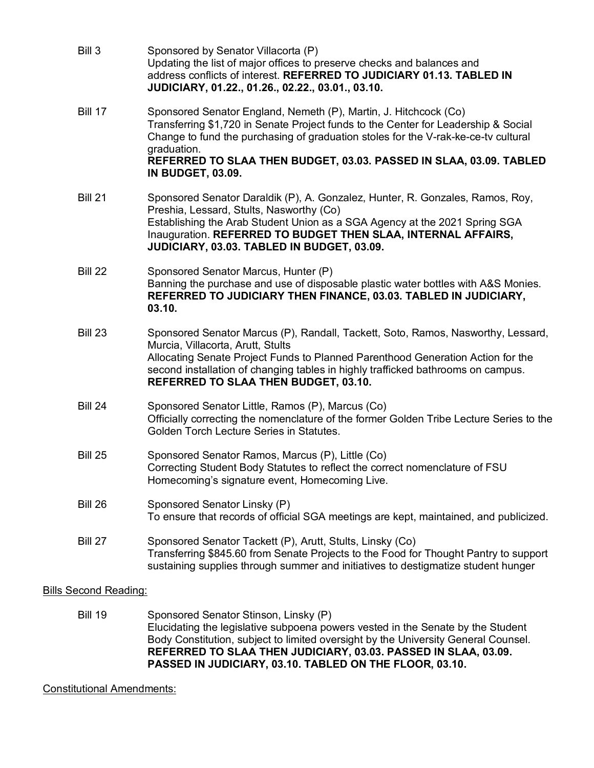| Bill 3<br>Sponsored by Senator Villacorta (P)<br>Updating the list of major offices to preserve checks and balances and<br>address conflicts of interest. REFERRED TO JUDICIARY 01.13. TABLED IN<br>JUDICIARY, 01.22., 01.26., 02.22., 03.01., 03.10.                                                                                    |                                                                                         |  |
|------------------------------------------------------------------------------------------------------------------------------------------------------------------------------------------------------------------------------------------------------------------------------------------------------------------------------------------|-----------------------------------------------------------------------------------------|--|
| <b>Bill 17</b><br>Sponsored Senator England, Nemeth (P), Martin, J. Hitchcock (Co)<br>Transferring \$1,720 in Senate Project funds to the Center for Leadership & Social<br>Change to fund the purchasing of graduation stoles for the V-rak-ke-ce-tv cultural<br>graduation.                                                            | REFERRED TO SLAA THEN BUDGET, 03.03. PASSED IN SLAA, 03.09. TABLED                      |  |
| <b>IN BUDGET, 03.09.</b>                                                                                                                                                                                                                                                                                                                 |                                                                                         |  |
| <b>Bill 21</b><br>Sponsored Senator Daraldik (P), A. Gonzalez, Hunter, R. Gonzales, Ramos, Roy,<br>Preshia, Lessard, Stults, Nasworthy (Co)<br>Establishing the Arab Student Union as a SGA Agency at the 2021 Spring SGA<br>Inauguration. REFERRED TO BUDGET THEN SLAA, INTERNAL AFFAIRS,<br>JUDICIARY, 03.03. TABLED IN BUDGET, 03.09. |                                                                                         |  |
| Sponsored Senator Marcus, Hunter (P)<br>Bill 22<br>REFERRED TO JUDICIARY THEN FINANCE, 03.03. TABLED IN JUDICIARY,<br>03.10.                                                                                                                                                                                                             | Banning the purchase and use of disposable plastic water bottles with A&S Monies.       |  |
| <b>Bill 23</b><br>Murcia, Villacorta, Arutt, Stults<br>Allocating Senate Project Funds to Planned Parenthood Generation Action for the<br>second installation of changing tables in highly trafficked bathrooms on campus.<br>REFERRED TO SLAA THEN BUDGET, 03.10.                                                                       | Sponsored Senator Marcus (P), Randall, Tackett, Soto, Ramos, Nasworthy, Lessard,        |  |
| <b>Bill 24</b><br>Sponsored Senator Little, Ramos (P), Marcus (Co)<br>Golden Torch Lecture Series in Statutes.                                                                                                                                                                                                                           | Officially correcting the nomenclature of the former Golden Tribe Lecture Series to the |  |
| <b>Bill 25</b><br>Sponsored Senator Ramos, Marcus (P), Little (Co)<br>Correcting Student Body Statutes to reflect the correct nomenclature of FSU<br>Homecoming's signature event, Homecoming Live.                                                                                                                                      |                                                                                         |  |
| <b>Bill 26</b><br>Sponsored Senator Linsky (P)                                                                                                                                                                                                                                                                                           | To ensure that records of official SGA meetings are kept, maintained, and publicized.   |  |
| <b>Bill 27</b><br>Sponsored Senator Tackett (P), Arutt, Stults, Linsky (Co)<br>sustaining supplies through summer and initiatives to destigmatize student hunger                                                                                                                                                                         | Transferring \$845.60 from Senate Projects to the Food for Thought Pantry to support    |  |
| <b>Bills Second Reading:</b>                                                                                                                                                                                                                                                                                                             |                                                                                         |  |

Bill 19 Sponsored Senator Stinson, Linsky (P) Elucidating the legislative subpoena powers vested in the Senate by the Student Body Constitution, subject to limited oversight by the University General Counsel. **REFERRED TO SLAA THEN JUDICIARY, 03.03. PASSED IN SLAA, 03.09. PASSED IN JUDICIARY, 03.10. TABLED ON THE FLOOR, 03.10.**

## Constitutional Amendments: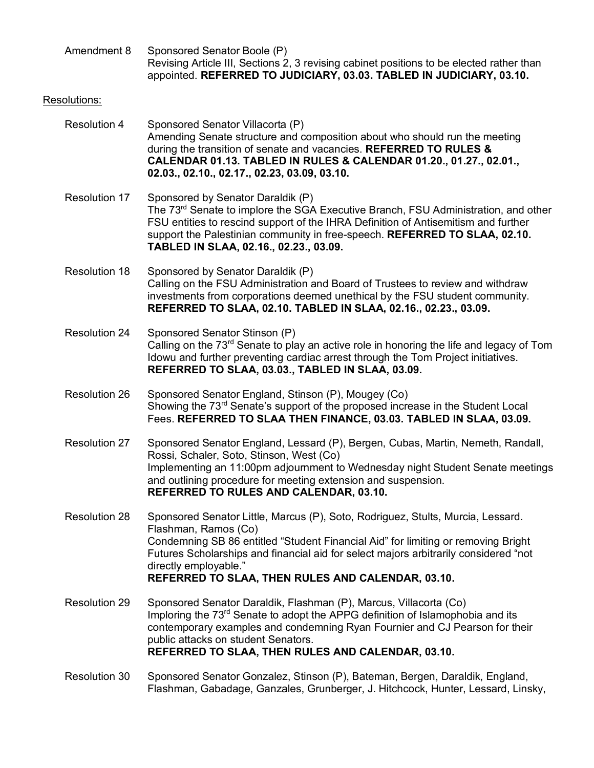| Amendment 8          |  | Sponsored Senator Boole (P)<br>Revising Article III, Sections 2, 3 revising cabinet positions to be elected rather than<br>appointed. REFERRED TO JUDICIARY, 03.03. TABLED IN JUDICIARY, 03.10.                                                                                                                                                                    |
|----------------------|--|--------------------------------------------------------------------------------------------------------------------------------------------------------------------------------------------------------------------------------------------------------------------------------------------------------------------------------------------------------------------|
| Resolutions:         |  |                                                                                                                                                                                                                                                                                                                                                                    |
| <b>Resolution 4</b>  |  | Sponsored Senator Villacorta (P)<br>Amending Senate structure and composition about who should run the meeting<br>during the transition of senate and vacancies. REFERRED TO RULES &<br>CALENDAR 01.13. TABLED IN RULES & CALENDAR 01.20., 01.27., 02.01.,<br>02.03., 02.10., 02.17., 02.23, 03.09, 03.10.                                                         |
| <b>Resolution 17</b> |  | Sponsored by Senator Daraldik (P)<br>The 73 <sup>rd</sup> Senate to implore the SGA Executive Branch, FSU Administration, and other<br>FSU entities to rescind support of the IHRA Definition of Antisemitism and further<br>support the Palestinian community in free-speech. REFERRED TO SLAA, 02.10.<br>TABLED IN SLAA, 02.16., 02.23., 03.09.                  |
| <b>Resolution 18</b> |  | Sponsored by Senator Daraldik (P)<br>Calling on the FSU Administration and Board of Trustees to review and withdraw<br>investments from corporations deemed unethical by the FSU student community.<br>REFERRED TO SLAA, 02.10. TABLED IN SLAA, 02.16., 02.23., 03.09.                                                                                             |
| <b>Resolution 24</b> |  | Sponsored Senator Stinson (P)<br>Calling on the 73 <sup>rd</sup> Senate to play an active role in honoring the life and legacy of Tom<br>Idowu and further preventing cardiac arrest through the Tom Project initiatives.<br>REFERRED TO SLAA, 03.03., TABLED IN SLAA, 03.09.                                                                                      |
| <b>Resolution 26</b> |  | Sponsored Senator England, Stinson (P), Mougey (Co)<br>Showing the 73 <sup>rd</sup> Senate's support of the proposed increase in the Student Local<br>Fees. REFERRED TO SLAA THEN FINANCE, 03.03. TABLED IN SLAA, 03.09.                                                                                                                                           |
| <b>Resolution 27</b> |  | Sponsored Senator England, Lessard (P), Bergen, Cubas, Martin, Nemeth, Randall,<br>Rossi, Schaler, Soto, Stinson, West (Co)<br>Implementing an 11:00pm adjournment to Wednesday night Student Senate meetings<br>and outlining procedure for meeting extension and suspension.<br><b>REFERRED TO RULES AND CALENDAR, 03.10.</b>                                    |
| <b>Resolution 28</b> |  | Sponsored Senator Little, Marcus (P), Soto, Rodriguez, Stults, Murcia, Lessard.<br>Flashman, Ramos (Co)<br>Condemning SB 86 entitled "Student Financial Aid" for limiting or removing Bright<br>Futures Scholarships and financial aid for select majors arbitrarily considered "not<br>directly employable."<br>REFERRED TO SLAA, THEN RULES AND CALENDAR, 03.10. |
| <b>Resolution 29</b> |  | Sponsored Senator Daraldik, Flashman (P), Marcus, Villacorta (Co)<br>Imploring the 73 <sup>rd</sup> Senate to adopt the APPG definition of Islamophobia and its<br>contemporary examples and condemning Ryan Fournier and CJ Pearson for their<br>public attacks on student Senators.<br>REFERRED TO SLAA, THEN RULES AND CALENDAR, 03.10.                         |
| <b>Resolution 30</b> |  | Sponsored Senator Gonzalez, Stinson (P), Bateman, Bergen, Daraldik, England,<br>Flashman, Gabadage, Ganzales, Grunberger, J. Hitchcock, Hunter, Lessard, Linsky,                                                                                                                                                                                                   |